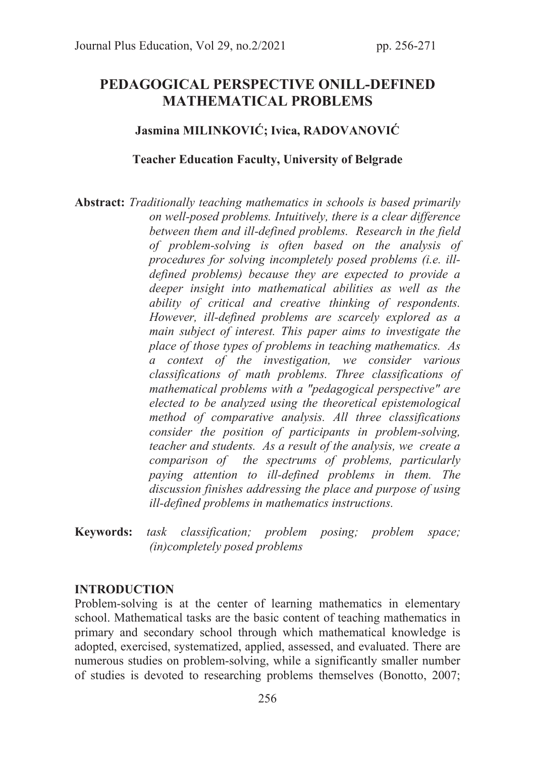# PEDAGOGICAL PERSPECTIVE ONILL-DEFINED MATHEMATICAL PROBLEMS

## Jasmina MILINKOVIĆ; Ivica, RADOVANOVIĆ

#### Teacher Education Faculty, University of Belgrade

Abstract: *Traditionally teaching mathematics in schools is based primarily on well-posed problems. Intuitively, there is a clear difference between them and ill-defined problems. Research in the field of problem-solving is often based on the analysis of procedures for solving incompletely posed problems (i.e. illdefined problems) because they are expected to provide a deeper insight into mathematical abilities as well as the ability of critical and creative thinking of respondents. However, ill-defined problems are scarcely explored as a main subject of interest. This paper aims to investigate the place of those types of problems in teaching mathematics. As a context of the investigation, we consider various classifications of math problems. Three classifications of mathematical problems with a "pedagogical perspective" are elected to be analyzed using the theoretical epistemological method of comparative analysis. All three classifications consider the position of participants in problem-solving, teacher and students. As a result of the analysis, we create a comparison of the spectrums of problems, particularly paying attention to ill-defined problems in them. The discussion finishes addressing the place and purpose of using ill-defined problems in mathematics instructions.* 

Keywords: *task classification; problem posing; problem space; (in)completely posed problems*

### INTRODUCTION

Problem-solving is at the center of learning mathematics in elementary school. Mathematical tasks are the basic content of teaching mathematics in primary and secondary school through which mathematical knowledge is adopted, exercised, systematized, applied, assessed, and evaluated. There are numerous studies on problem-solving, while a significantly smaller number of studies is devoted to researching problems themselves (Bonotto, 2007;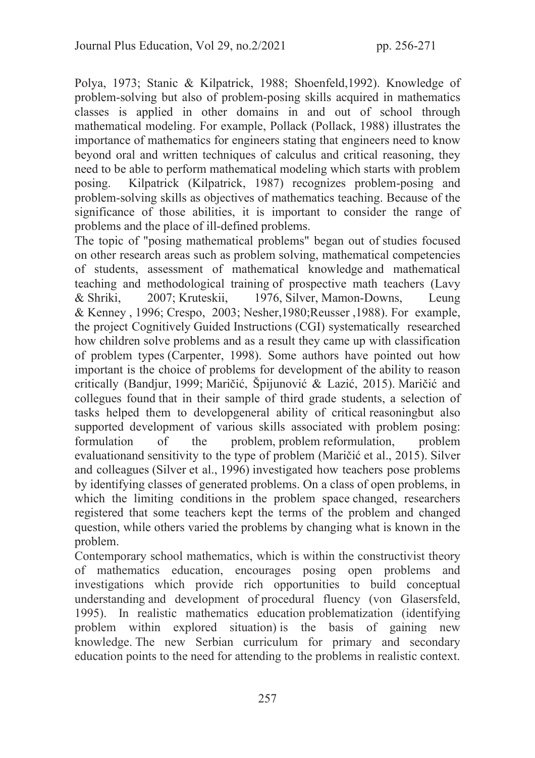Polya, 1973; Stanic & Kilpatrick, 1988; Shoenfeld,1992). Knowledge of problem-solving but also of problem-posing skills acquired in mathematics classes is applied in other domains in and out of school through mathematical modeling. For example, Pollack (Pollack, 1988) illustrates the importance of mathematics for engineers stating that engineers need to know beyond oral and written techniques of calculus and critical reasoning, they need to be able to perform mathematical modeling which starts with problem posing. Kilpatrick (Kilpatrick, 1987) recognizes problem-posing and problem-solving skills as objectives of mathematics teaching. Because of the significance of those abilities, it is important to consider the range of problems and the place of ill-defined problems.

The topic of "posing mathematical problems" began out of studies focused on other research areas such as problem solving, mathematical competencies of students, assessment of mathematical knowledge and mathematical teaching and methodological training of prospective math teachers (Lavy & Shriki, 2007; Kruteskii, 1976, Silver, Mamon-Downs, Leung & Kenney , 1996; Crespo, 2003; Nesher,1980;Reusser ,1988). For example, the project Cognitively Guided Instructions (CGI) systematically researched how children solve problems and as a result they came up with classification of problem types (Carpenter, 1998). Some authors have pointed out how important is the choice of problems for development of the ability to reason critically (Bandjur, 1999; Maričić, Špijunović & Lazić, 2015). Maričić and collegues found that in their sample of third grade students, a selection of tasks helped them to developgeneral ability of critical reasoningbut also supported development of various skills associated with problem posing: formulation of the problem, problem reformulation, problem evaluationand sensitivity to the type of problem (Maričić et al., 2015). Silver and colleagues (Silver et al., 1996) investigated how teachers pose problems by identifying classes of generated problems. On a class of open problems, in which the limiting conditions in the problem space changed, researchers registered that some teachers kept the terms of the problem and changed question, while others varied the problems by changing what is known in the problem.

Contemporary school mathematics, which is within the constructivist theory of mathematics education, encourages posing open problems and investigations which provide rich opportunities to build conceptual understanding and development of procedural fluency (von Glasersfeld, 1995). In realistic mathematics education problematization (identifying problem within explored situation) is the basis of gaining new knowledge. The new Serbian curriculum for primary and secondary education points to the need for attending to the problems in realistic context.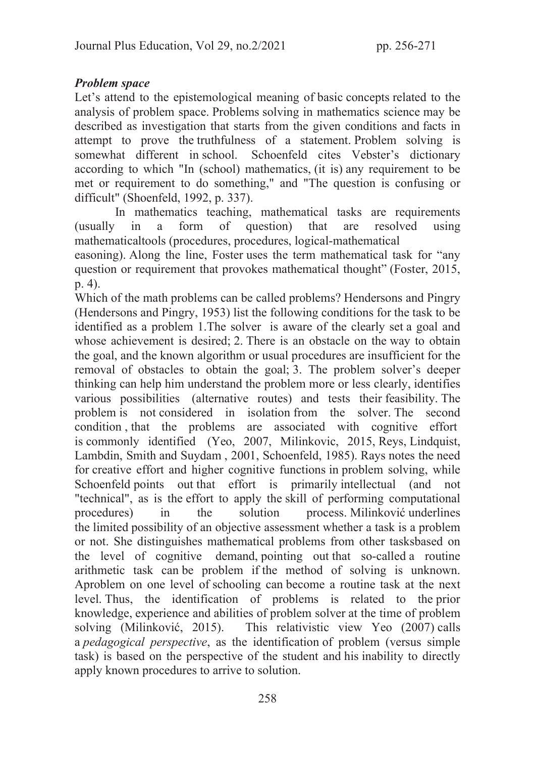# Problem space

Let's attend to the epistemological meaning of basic concepts related to the analysis of problem space. Problems solving in mathematics science may be described as investigation that starts from the given conditions and facts in attempt to prove the truthfulness of a statement. Problem solving is somewhat different in school. Schoenfeld cites Vebster's dictionary according to which "In (school) mathematics, (it is) any requirement to be met or requirement to do something," and "The question is confusing or difficult" (Shoenfeld, 1992, p. 337).

 In mathematics teaching, mathematical tasks are requirements (usually in a form of question) that are resolved using mathematicaltools (procedures, procedures, logical-mathematical

easoning). Along the line, Foster uses the term mathematical task for "any question or requirement that provokes mathematical thought" (Foster, 2015, p. 4).

Which of the math problems can be called problems? Hendersons and Pingry (Hendersons and Pingry, 1953) list the following conditions for the task to be identified as a problem 1.The solver is aware of the clearly set a goal and whose achievement is desired; 2. There is an obstacle on the way to obtain the goal, and the known algorithm or usual procedures are insufficient for the removal of obstacles to obtain the goal; 3. The problem solver's deeper thinking can help him understand the problem more or less clearly, identifies various possibilities (alternative routes) and tests their feasibility. The problem is not considered in isolation from the solver. The second condition , that the problems are associated with cognitive effort is commonly identified (Yeo, 2007, Milinkovic, 2015, Reys, Lindquist, Lambdin, Smith and Suydam , 2001, Schoenfeld, 1985). Rays notes the need for creative effort and higher cognitive functions in problem solving, while Schoenfeld points out that effort is primarily intellectual (and not "technical", as is the effort to apply the skill of performing computational procedures) in the solution process. Milinković underlines the limited possibility of an objective assessment whether a task is a problem or not. She distinguishes mathematical problems from other tasksbased on the level of cognitive demand, pointing out that so-called a routine arithmetic task can be problem if the method of solving is unknown. Aproblem on one level of schooling can become a routine task at the next level. Thus, the identification of problems is related to the prior knowledge, experience and abilities of problem solver at the time of problem solving (Milinković, 2015). This relativistic view Yeo (2007) calls a *pedagogical perspective*, as the identification of problem (versus simple task) is based on the perspective of the student and his inability to directly apply known procedures to arrive to solution.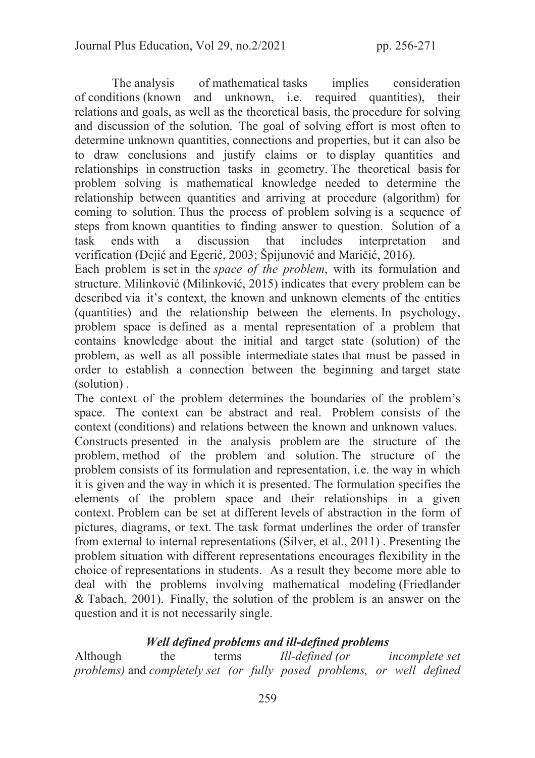The analysis of mathematical tasks implies consideration of conditions (known and unknown, i.e. required quantities), their relations and goals, as well as the theoretical basis, the procedure for solving and discussion of the solution. The goal of solving effort is most often to determine unknown quantities, connections and properties, but it can also be to draw conclusions and justify claims or to display quantities and relationships in construction tasks in geometry. The theoretical basis for problem solving is mathematical knowledge needed to determine the relationship between quantities and arriving at procedure (algorithm) for coming to solution. Thus the process of problem solving is a sequence of steps from known quantities to finding answer to question. Solution of a task ends with a discussion that includes interpretation and verification (Dejić and Egerić, 2003; Špijunović and Maričić, 2016).

Each problem is set in the *space of the problem*, with its formulation and structure. Milinković (Milinković, 2015) indicates that every problem can be described via it's context, the known and unknown elements of the entities (quantities) and the relationship between the elements. In psychology, problem space is defined as a mental representation of a problem that contains knowledge about the initial and target state (solution) of the problem, as well as all possible intermediate states that must be passed in order to establish a connection between the beginning and target state (solution) .

The context of the problem determines the boundaries of the problem's space. The context can be abstract and real. Problem consists of the context (conditions) and relations between the known and unknown values.

Constructs presented in the analysis problem are the structure of the problem, method of the problem and solution. The structure of the problem consists of its formulation and representation, i.e. the way in which it is given and the way in which it is presented. The formulation specifies the elements of the problem space and their relationships in a given context. Problem can be set at different levels of abstraction in the form of pictures, diagrams, or text. The task format underlines the order of transfer from external to internal representations (Silver, et al., 2011) . Presenting the problem situation with different representations encourages flexibility in the choice of representations in students. As a result they become more able to deal with the problems involving mathematical modeling (Friedlander & Tabach, 2001). Finally, the solution of the problem is an answer on the question and it is not necessarily single.

# Well defined problems and ill-defined problems

Although the terms *Ill-defined (or incomplete set problems)* and *completely set (or fully posed problems, or well defined*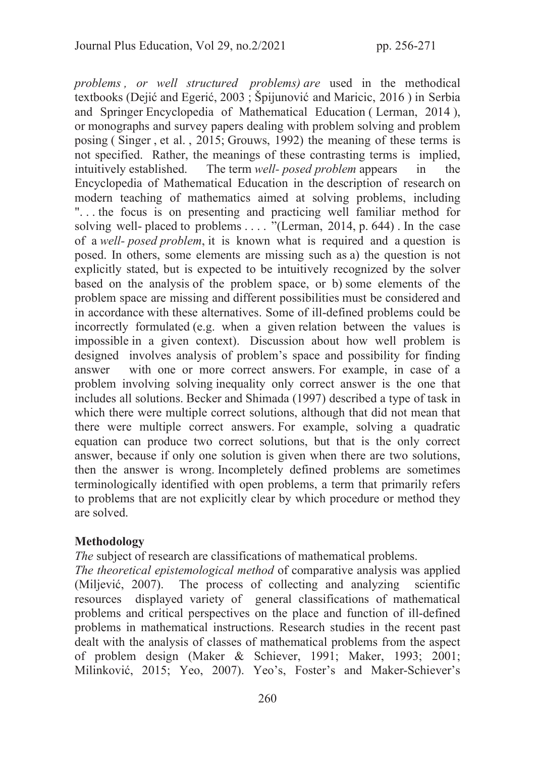*problems , or well structured problems) are* used in the methodical textbooks (Dejić and Egerić, 2003 ; Špijunović and Maricic, 2016 ) in Serbia and Springer Encyclopedia of Mathematical Education ( Lerman, 2014 ), or monographs and survey papers dealing with problem solving and problem posing ( Singer , et al. , 2015; Grouws, 1992) the meaning of these terms is not specified. Rather, the meanings of these contrasting terms is implied, intuitively established. The term *well- posed problem* appears in the Encyclopedia of Mathematical Education in the description of research on modern teaching of mathematics aimed at solving problems, including ". . . the focus is on presenting and practicing well familiar method for solving well- placed to problems . . . . "(Lerman, 2014, p. 644). In the case of a *well- posed problem*, it is known what is required and a question is posed. In others, some elements are missing such as a) the question is not explicitly stated, but is expected to be intuitively recognized by the solver based on the analysis of the problem space, or b) some elements of the problem space are missing and different possibilities must be considered and in accordance with these alternatives. Some of ill-defined problems could be incorrectly formulated (e.g. when a given relation between the values is impossible in a given context). Discussion about how well problem is designed involves analysis of problem's space and possibility for finding answer with one or more correct answers. For example, in case of a problem involving solving inequality only correct answer is the one that includes all solutions. Becker and Shimada (1997) described a type of task in which there were multiple correct solutions, although that did not mean that there were multiple correct answers. For example, solving a quadratic equation can produce two correct solutions, but that is the only correct answer, because if only one solution is given when there are two solutions, then the answer is wrong. Incompletely defined problems are sometimes terminologically identified with open problems, a term that primarily refers to problems that are not explicitly clear by which procedure or method they are solved.

## Methodology

*The* subject of research are classifications of mathematical problems.

*The theoretical epistemological method* of comparative analysis was applied (Miljević, 2007). The process of collecting and analyzing scientific resources displayed variety of general classifications of mathematical problems and critical perspectives on the place and function of ill-defined problems in mathematical instructions. Research studies in the recent past dealt with the analysis of classes of mathematical problems from the aspect of problem design (Maker & Schiever, 1991; Maker, 1993; 2001; Milinković, 2015; Yeo, 2007). Yeo's, Foster's and Maker-Schiever's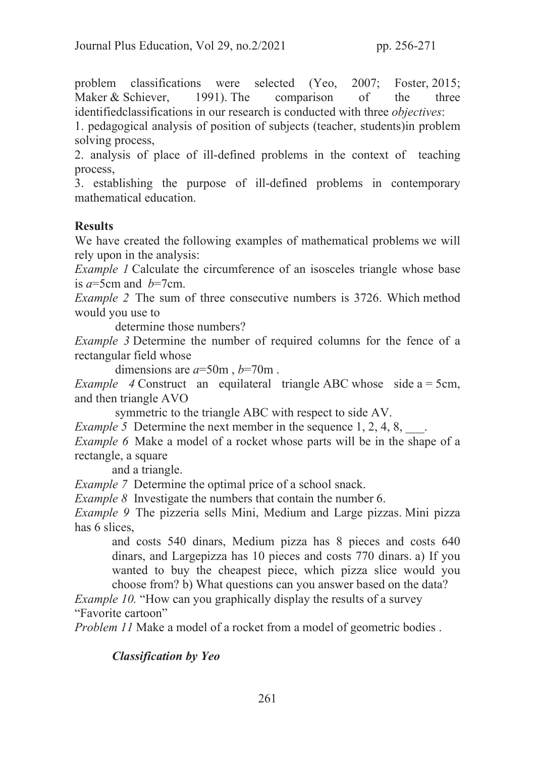problem classifications were selected (Yeo, 2007; Foster, 2015; Maker & Schiever, 1991). The comparison of the three identifiedclassifications in our research is conducted with three *objectives*:

1. pedagogical analysis of position of subjects (teacher, students)in problem solving process,

2. analysis of place of ill-defined problems in the context of teaching process,

3. establishing the purpose of ill-defined problems in contemporary mathematical education.

## **Results**

We have created the following examples of mathematical problems we will rely upon in the analysis:

*Example 1* Calculate the circumference of an isosceles triangle whose base is  $a=5cm$  and  $b=7cm$ .

*Example 2* The sum of three consecutive numbers is 3726. Which method would you use to

determine those numbers?

*Example 3* Determine the number of required columns for the fence of a rectangular field whose

dimensions are *a*=50m , *b*=70m .

*Example 4* Construct an equilateral triangle ABC whose side a = 5cm, and then triangle AVO

symmetric to the triangle ABC with respect to side AV.

*Example 5* Determine the next member in the sequence 1, 2, 4, 8,  $\ldots$ 

*Example 6* Make a model of a rocket whose parts will be in the shape of a rectangle, a square

and a triangle.

*Example 7* Determine the optimal price of a school snack.

*Example 8* Investigate the numbers that contain the number 6.

*Example 9* The pizzeria sells Mini, Medium and Large pizzas. Mini pizza has 6 slices,

and costs 540 dinars, Medium pizza has 8 pieces and costs 640 dinars, and Largepizza has 10 pieces and costs 770 dinars. a) If you wanted to buy the cheapest piece, which pizza slice would you choose from? b) What questions can you answer based on the data?

*Example 10.* "How can you graphically display the results of a survey "Favorite cartoon"

*Problem 11* Make a model of a rocket from a model of geometric bodies.

Classification by Yeo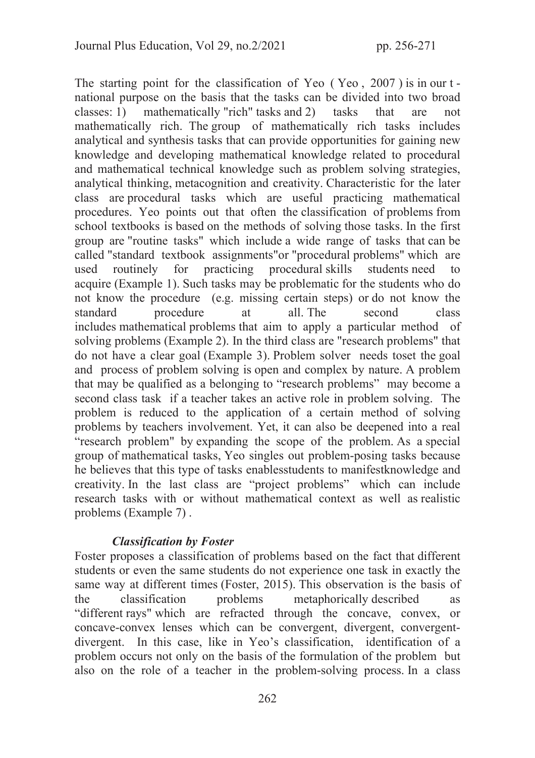The starting point for the classification of Yeo ( Yeo , 2007 ) is in our t national purpose on the basis that the tasks can be divided into two broad classes: 1) mathematically "rich" tasks and 2) tasks that are not mathematically rich. The group of mathematically rich tasks includes analytical and synthesis tasks that can provide opportunities for gaining new knowledge and developing mathematical knowledge related to procedural and mathematical technical knowledge such as problem solving strategies, analytical thinking, metacognition and creativity. Characteristic for the later class are procedural tasks which are useful practicing mathematical procedures. Yeo points out that often the classification of problems from school textbooks is based on the methods of solving those tasks. In the first group are "routine tasks" which include a wide range of tasks that can be called "standard textbook assignments"or "procedural problems" which are used routinely for practicing procedural skills students need to acquire (Example 1). Such tasks may be problematic for the students who do not know the procedure (e.g. missing certain steps) or do not know the standard procedure at all. The second class includes mathematical problems that aim to apply a particular method of solving problems (Example 2). In the third class are "research problems" that do not have a clear goal (Example 3). Problem solver needs toset the goal and process of problem solving is open and complex by nature. A problem that may be qualified as a belonging to "research problems" may become a second class task if a teacher takes an active role in problem solving. The problem is reduced to the application of a certain method of solving problems by teachers involvement. Yet, it can also be deepened into a real "research problem" by expanding the scope of the problem. As a special group of mathematical tasks, Yeo singles out problem-posing tasks because he believes that this type of tasks enablesstudents to manifestknowledge and creativity. In the last class are "project problems" which can include research tasks with or without mathematical context as well as realistic problems (Example 7) .

## Classification by Foster

Foster proposes a classification of problems based on the fact that different students or even the same students do not experience one task in exactly the same way at different times (Foster, 2015). This observation is the basis of the classification problems metaphorically described as "different rays" which are refracted through the concave, convex, or concave-convex lenses which can be convergent, divergent, convergentdivergent. In this case, like in Yeo's classification, identification of a problem occurs not only on the basis of the formulation of the problem but also on the role of a teacher in the problem-solving process. In a class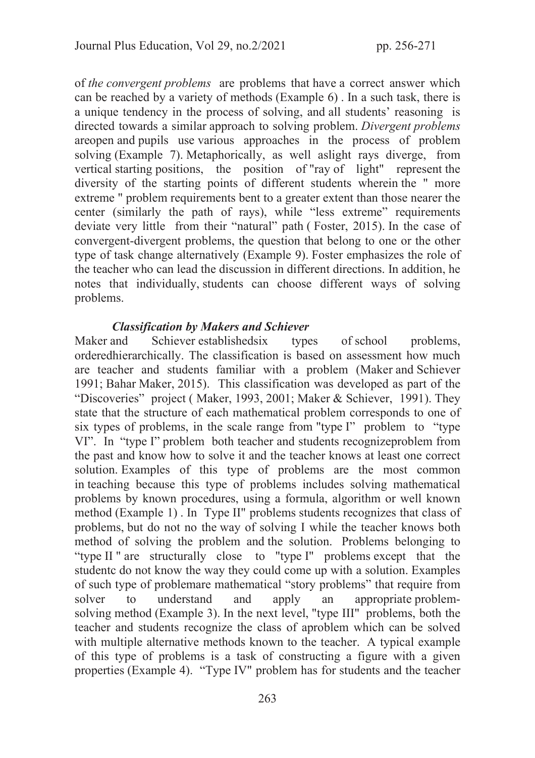of *the convergent problems* are problems that have a correct answer which can be reached by a variety of methods (Example 6) . In a such task, there is a unique tendency in the process of solving, and all students' reasoning is directed towards a similar approach to solving problem. *Divergent problems*  areopen and pupils use various approaches in the process of problem solving (Example 7). Metaphorically, as well aslight rays diverge, from vertical starting positions, the position of "ray of light" represent the diversity of the starting points of different students wherein the " more extreme " problem requirements bent to a greater extent than those nearer the center (similarly the path of rays), while "less extreme" requirements deviate very little from their "natural" path ( Foster, 2015). In the case of convergent-divergent problems, the question that belong to one or the other type of task change alternatively (Example 9). Foster emphasizes the role of the teacher who can lead the discussion in different directions. In addition, he notes that individually, students can choose different ways of solving problems.

### Classification by Makers and Schiever

Maker and Schiever establishedsix types of school problems, orderedhierarchically. The classification is based on assessment how much are teacher and students familiar with a problem (Maker and Schiever 1991; Bahar Maker, 2015). This classification was developed as part of the "Discoveries" project ( Maker, 1993, 2001; Maker & Schiever, 1991). They state that the structure of each mathematical problem corresponds to one of six types of problems, in the scale range from "type I" problem to "type VI". In "type I" problem both teacher and students recognizeproblem from the past and know how to solve it and the teacher knows at least one correct solution. Examples of this type of problems are the most common in teaching because this type of problems includes solving mathematical problems by known procedures, using a formula, algorithm or well known method (Example 1) . In Type II" problems students recognizes that class of problems, but do not no the way of solving I while the teacher knows both method of solving the problem and the solution. Problems belonging to "type II " are structurally close to "type I" problems except that the studentс do not know the way they could come up with a solution. Examples of such type of problemare mathematical "story problems" that require from solver to understand and apply an appropriate problemsolving method (Example 3). In the next level, "type III" problems, both the teacher and students recognize the class of aproblem which can be solved with multiple alternative methods known to the teacher. A typical example of this type of problems is a task of constructing a figure with a given properties (Example 4). "Type IV" problem has for students and the teacher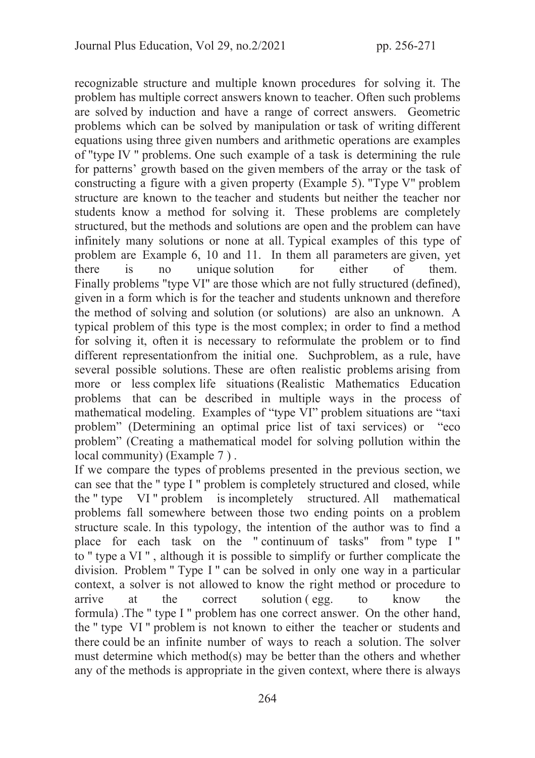recognizable structure and multiple known procedures for solving it. The problem has multiple correct answers known to teacher. Often such problems are solved by induction and have a range of correct answers. Geometric problems which can be solved by manipulation or task of writing different equations using three given numbers and arithmetic operations are examples of "type IV " problems. One such example of a task is determining the rule for patterns' growth based on the given members of the array or the task of constructing a figure with a given property (Example 5). "Type V" problem structure are known to the teacher and students but neither the teacher nor students know a method for solving it. These problems are completely structured, but the methods and solutions are open and the problem can have infinitely many solutions or none at all. Typical examples of this type of problem are Example 6, 10 and 11. In them all parameters are given, yet there is no unique solution for either of them. Finally problems "type VI" are those which are not fully structured (defined), given in a form which is for the teacher and students unknown and therefore the method of solving and solution (or solutions) are also an unknown. A typical problem of this type is the most complex; in order to find a method for solving it, often it is necessary to reformulate the problem or to find different representationfrom the initial one. Suchproblem, as a rule, have several possible solutions. These are often realistic problems arising from more or less complex life situations (Realistic Mathematics Education problems that can be described in multiple ways in the process of mathematical modeling. Examples of "type VI" problem situations are "taxi problem" (Determining an optimal price list of taxi services) or "eco problem" (Creating a mathematical model for solving pollution within the local community) (Example 7).

If we compare the types of problems presented in the previous section, we can see that the " type I " problem is completely structured and closed, while the " type VI " problem is incompletely structured. All mathematical problems fall somewhere between those two ending points on a problem structure scale. In this typology, the intention of the author was to find a place for each task on the " continuum of tasks" from " type I " to " type a VI " , although it is possible to simplify or further complicate the division. Problem " Type I " can be solved in only one way in a particular context, a solver is not allowed to know the right method or procedure to arrive at the correct solution ( egg. to know the formula) .The " type I " problem has one correct answer. On the other hand, the " type VI " problem is not known to either the teacher or students and there could be an infinite number of ways to reach a solution. The solver must determine which method(s) may be better than the others and whether any of the methods is appropriate in the given context, where there is always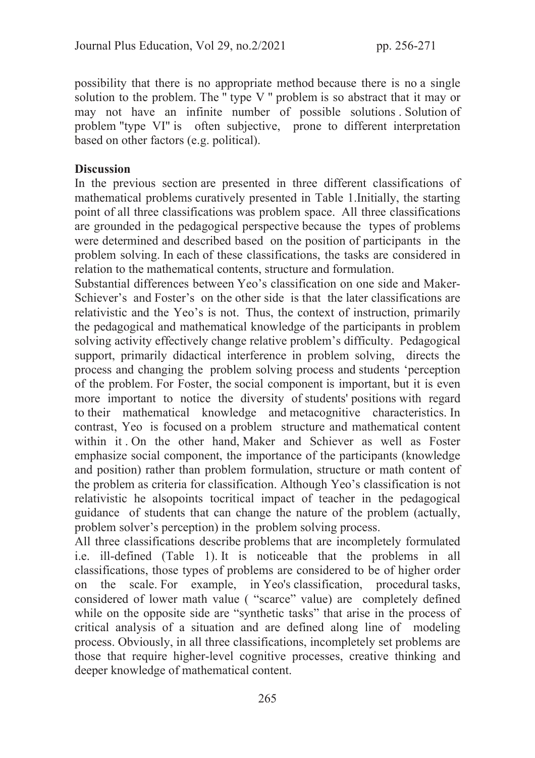possibility that there is no appropriate method because there is no a single solution to the problem. The " type V " problem is so abstract that it may or may not have an infinite number of possible solutions . Solution of problem "type VI" is often subjective, prone to different interpretation based on other factors (e.g. political).

### **Discussion**

In the previous section are presented in three different classifications of mathematical problems curatively presented in Table 1.Initially, the starting point of all three classifications was problem space. All three classifications are grounded in the pedagogical perspective because the types of problems were determined and described based on the position of participants in the problem solving. In each of these classifications, the tasks are considered in relation to the mathematical contents, structure and formulation.

Substantial differences between Yeo's classification on one side and Maker-Schiever's and Foster's on the other side is that the later classifications are relativistic and the Yeo's is not. Thus, the context of instruction, primarily the pedagogical and mathematical knowledge of the participants in problem solving activity effectively change relative problem's difficulty. Pedagogical support, primarily didactical interference in problem solving, directs the process and changing the problem solving process and students 'perception of the problem. For Foster, the social component is important, but it is even more important to notice the diversity of students' positions with regard to their mathematical knowledge and metacognitive characteristics. In contrast, Yeo is focused on a problem structure and mathematical content within it . On the other hand, Maker and Schiever as well as Foster emphasize social component, the importance of the participants (knowledge and position) rather than problem formulation, structure or math content of the problem as criteria for classification. Although Yeo's classification is not relativistic he alsopoints tocritical impact of teacher in the pedagogical guidance of students that can change the nature of the problem (actually, problem solver's perception) in the problem solving process.

All three classifications describe problems that are incompletely formulated i.e. ill-defined (Table 1). It is noticeable that the problems in all classifications, those types of problems are considered to be of higher order on the scale. For example, in Yeo's classification, procedural tasks, considered of lower math value ( "scarce" value) are completely defined while on the opposite side are "synthetic tasks" that arise in the process of critical analysis of a situation and are defined along line of modeling process. Obviously, in all three classifications, incompletely set problems are those that require higher-level cognitive processes, creative thinking and deeper knowledge of mathematical content.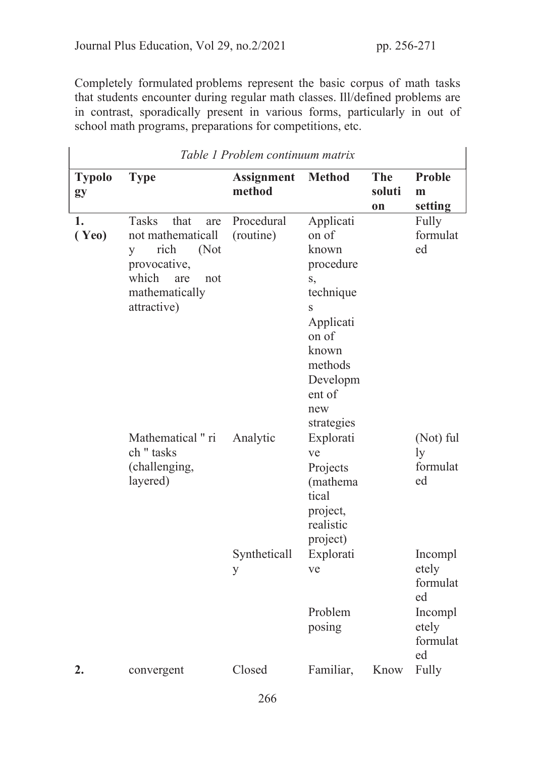$\overline{1}$ 

Completely formulated problems represent the basic corpus of math tasks that students encounter during regular math classes. Ill/defined problems are in contrast, sporadically present in various forms, particularly in out of school math programs, preparations for competitions, etc.

| Table 1 Problem continuum matrix |                                                                                                                                               |                             |                                                                                                                                                       |                            |                                                                          |  |  |  |  |  |  |
|----------------------------------|-----------------------------------------------------------------------------------------------------------------------------------------------|-----------------------------|-------------------------------------------------------------------------------------------------------------------------------------------------------|----------------------------|--------------------------------------------------------------------------|--|--|--|--|--|--|
| <b>Typolo</b><br>gy              | <b>Type</b>                                                                                                                                   | <b>Assignment</b><br>method | <b>Method</b>                                                                                                                                         | <b>The</b><br>soluti<br>on | <b>Proble</b><br>m<br>setting                                            |  |  |  |  |  |  |
| 1.<br>(Ye0)                      | <b>Tasks</b><br>that<br>are<br>not mathematicall<br>rich<br>(Not<br>y<br>provocative,<br>which<br>are<br>not<br>mathematically<br>attractive) | Procedural<br>(routine)     | Applicati<br>on of<br>known<br>procedure<br>S,<br>technique<br>S<br>Applicati<br>on of<br>known<br>methods<br>Developm<br>ent of<br>new<br>strategies |                            | Fully<br>formulat<br>ed                                                  |  |  |  |  |  |  |
|                                  | Mathematical "ri<br>ch "tasks<br>(challenging,<br>layered)                                                                                    | Analytic                    | Explorati<br>ve<br>Projects<br>(mathema)<br>tical<br>project,<br>realistic<br>project)                                                                |                            | (Not) ful<br>ly<br>formulat<br>ed                                        |  |  |  |  |  |  |
|                                  |                                                                                                                                               | Syntheticall<br>y           | Explorati<br>ve<br>Problem<br>posing                                                                                                                  |                            | Incompl<br>etely<br>formulat<br>ed<br>Incompl<br>etely<br>formulat<br>ed |  |  |  |  |  |  |
| 2.                               | convergent                                                                                                                                    | Closed                      | Familiar,                                                                                                                                             | Know                       | Fully                                                                    |  |  |  |  |  |  |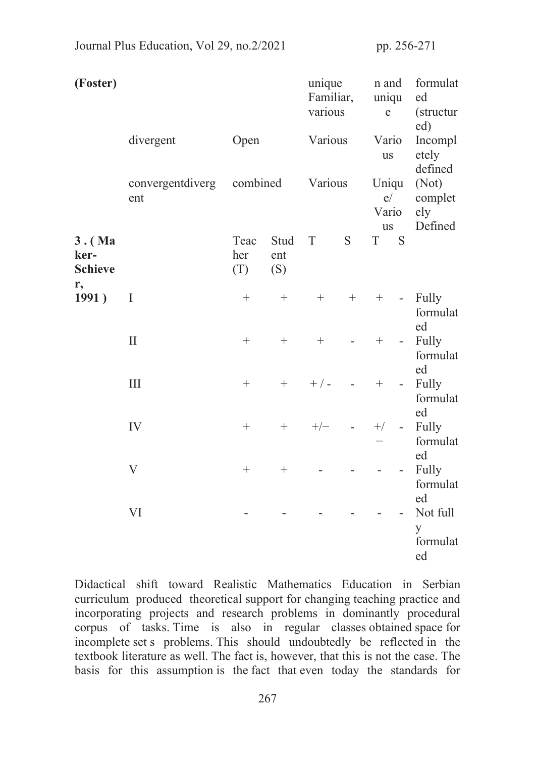| (Foster)                           | divergent               | Open               |                    | unique<br>Familiar,<br>various<br>Various |                                           | n and<br>uniqu<br>e<br>Vario<br><b>us</b> |                     | formulat<br>ed<br>(structur)<br>ed)<br>Incompl<br>etely<br>defined |  |
|------------------------------------|-------------------------|--------------------|--------------------|-------------------------------------------|-------------------------------------------|-------------------------------------------|---------------------|--------------------------------------------------------------------|--|
|                                    | convergentdiverg<br>ent | combined           |                    | Various                                   |                                           | Uniqu<br>e/<br>Vario                      |                     | (Not)<br>complet<br>ely                                            |  |
| $3.$ (Ma<br>ker-<br><b>Schieve</b> |                         | Teac<br>her<br>(T) | Stud<br>ent<br>(S) | T                                         | S                                         | <b>us</b><br>T S                          |                     | Defined                                                            |  |
| r,<br>1991)                        | I                       | $\boldsymbol{+}$   | $+$                | $+$                                       | $^{+}$                                    | $+$                                       | $\omega_{\rm{eff}}$ | Fully<br>formulat<br>ed                                            |  |
|                                    | $\mathbf{I}$            | $\boldsymbol{+}$   | $^{+}$             | $\boldsymbol{+}$                          |                                           | $\boldsymbol{+}$                          | $\omega$ .          | Fully<br>formulat<br>ed                                            |  |
|                                    | III                     | $\boldsymbol{+}$   | $+$                | $+$ / -                                   |                                           | $^{+}$                                    | $\sim$ $^{-1}$      | Fully<br>formulat<br>ed<br>Fully<br>formulat<br>ed                 |  |
|                                    | IV                      | $\boldsymbol{+}$   | $+$                | $+/-$                                     | $\alpha$ , $\alpha$ , $\alpha$ , $\alpha$ | $+/-$                                     | $\omega$ .          |                                                                    |  |
|                                    | V                       | $^{+}$             | $^{+}$             |                                           |                                           |                                           | -                   | Fully<br>formulat<br>ed                                            |  |
|                                    | VI                      |                    |                    |                                           |                                           |                                           |                     | Not full<br>y<br>formulat<br>ed                                    |  |

Journal Plus Education, Vol 29, no.2/2021 pp. 256-271

Didactical shift toward Realistic Mathematics Education in Serbian curriculum produced theoretical support for changing teaching practice and incorporating projects and research problems in dominantly procedural corpus of tasks. Time is also in regular classes obtained space for incomplete set s problems. This should undoubtedly be reflected in the textbook literature as well. The fact is, however, that this is not the case. The basis for this assumption is the fact that even today the standards for

267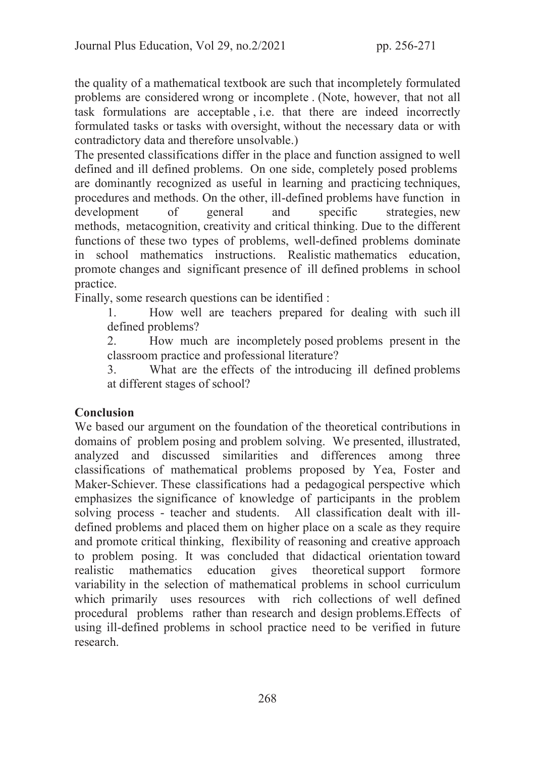the quality of a mathematical textbook are such that incompletely formulated problems are considered wrong or incomplete . (Note, however, that not all task formulations are acceptable , i.e. that there are indeed incorrectly formulated tasks or tasks with oversight, without the necessary data or with contradictory data and therefore unsolvable.)

The presented classifications differ in the place and function assigned to well defined and ill defined problems. On one side, completely posed problems are dominantly recognized as useful in learning and practicing techniques, procedures and methods. On the other, ill-defined problems have function in development of general and specific strategies, new methods, metacognition, creativity and critical thinking. Due to the different functions of these two types of problems, well-defined problems dominate in school mathematics instructions. Realistic mathematics education, promote changes and significant presence of ill defined problems in school practice.

Finally, some research questions can be identified :

1. How well are teachers prepared for dealing with such ill defined problems?

2. How much are incompletely posed problems present in the classroom practice and professional literature?

3. What are the effects of the introducing ill defined problems at different stages of school?

# Conclusion

We based our argument on the foundation of the theoretical contributions in domains of problem posing and problem solving. We presented, illustrated, analyzed and discussed similarities and differences among three classifications of mathematical problems proposed by Yea, Foster and Maker-Schiever. These classifications had a pedagogical perspective which emphasizes the significance of knowledge of participants in the problem solving process - teacher and students. All classification dealt with illdefined problems and placed them on higher place on a scale as they require and promote critical thinking, flexibility of reasoning and creative approach to problem posing. It was concluded that didactical orientation toward realistic mathematics education gives theoretical support formore variability in the selection of mathematical problems in school curriculum which primarily uses resources with rich collections of well defined procedural problems rather than research and design problems.Effects of using ill-defined problems in school practice need to be verified in future research.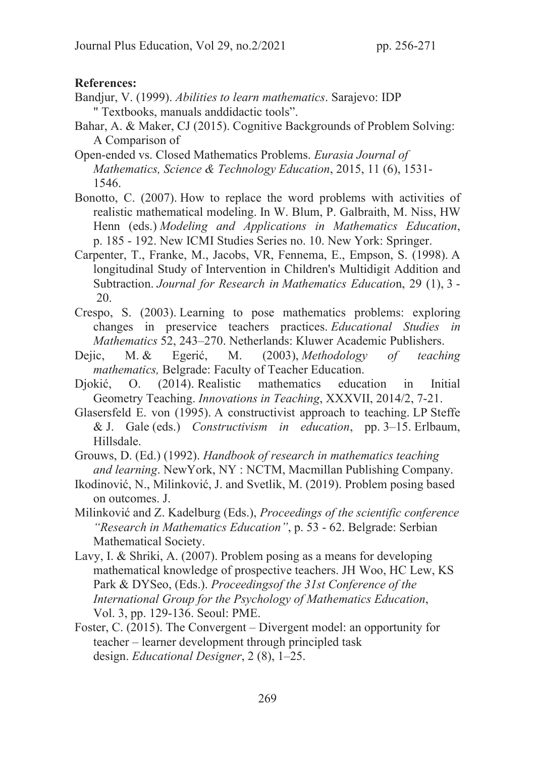### References:

- Bandjur, V. (1999). *Abilities to learn mathematics*. Sarajevo: IDP " Textbooks, manuals anddidactic tools".
- Bahar, A. & Maker, CJ (2015). Cognitive Backgrounds of Problem Solving: A Comparison of
- Open-ended vs. Closed Mathematics Problems. *Eurasia Journal of Mathematics, Science & Technology Education*, 2015, 11 (6), 1531- 1546.
- Bonotto, C. (2007). How to replace the word problems with activities of realistic mathematical modeling. In W. Blum, P. Galbraith, M. Niss, HW Henn (eds.) *Modeling and Applications in Mathematics Education*, p. 185 - 192. New ICMI Studies Series no. 10. New York: Springer.
- Carpenter, T., Franke, M., Jacobs, VR, Fennema, E., Empson, S. (1998). A longitudinal Study of Intervention in Children's Multidigit Addition and Subtraction. *Journal for Research in Mathematics Educatio*n, 29 (1), 3 - 20.
- Crespo, S. (2003). Learning to pose mathematics problems: exploring changes in preservice teachers practices. *Educational Studies in Mathematics* 52, 243–270. Netherlands: Kluwer Academic Publishers.
- Dejic, М. & Egerić, M. (2003), *Methodology of teaching mathematics,* Belgrade: Faculty of Teacher Education.
- Djokić, O. (2014). Realistic mathematics education in Initial Geometry Teaching. *Innovations in Teaching*, XXXVII, 2014/2, 7-21.
- Glasersfeld E. von (1995). A constructivist approach to teaching. LP Steffe & J. Gale (eds.) *Constructivism in education*, pp. 3–15. Erlbaum, Hillsdale.
- Grouws, D. (Ed.) (1992). *Handbook of research in mathematics teaching and learning*. NewYork, NY : NCTM, Macmillan Publishing Company.
- Ikodinović, N., Milinković, J. and Svetlik, M. (2019). Problem posing based on outcomes. J.
- Milinković and Z. Kadelburg (Eds.), *Proceedings of the scientific conference "Research in Mathematics Education"*, p. 53 - 62. Belgrade: Serbian Mathematical Society.
- Lavy, I. & Shriki, A. (2007). Problem posing as a means for developing mathematical knowledge of prospective teachers. JH Woo, HC Lew, KS Park & DYSeo, (Eds.). *Proceedingsof the 31st Conference of the International Group for the Psychology of Mathematics Education*, Vol. 3, pp. 129-136. Seoul: PME.
- Foster, C. (2015). The Convergent Divergent model: an opportunity for teacher – learner development through principled task design. *Educational Designer*, 2 (8), 1–25.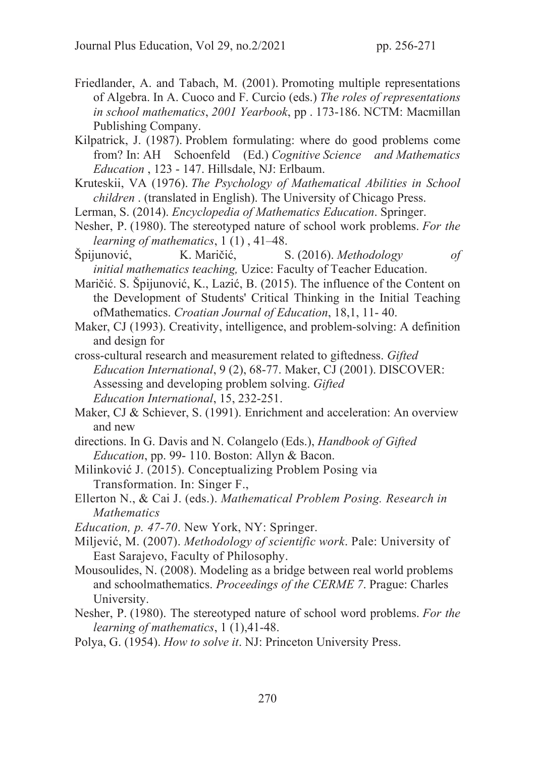- Friedlander, A. and Tabach, M. (2001). Promoting multiple representations of Algebra. In A. Cuoco and F. Curcio (eds.) *The roles of representations in school mathematics*, *2001 Yearbook*, pp . 173-186. NCTM: Macmillan Publishing Company.
- Kilpatrick, J. (1987). Problem formulating: where do good problems come from? In: AH Schoenfeld (Ed.) *Cognitive Science and Mathematics Education* , 123 - 147. Hillsdale, NJ: Erlbaum.
- Kruteskii, VA (1976). *The Psychology of Mathematical Abilities in School children* . (translated in English). The University of Chicago Press.
- Lerman, S. (2014). *Encyclopedia of Mathematics Education*. Springer.
- Nesher, P. (1980). The stereotyped nature of school work problems. *For the learning of mathematics*, 1 (1) , 41–48.
- Špijunović, K. Maričić, S. (2016). *Methodology of initial mathematics teaching,* Uzice: Faculty of Teacher Education.
- Maričić. S. Špijunović, K., Lazić, B. (2015). The influence of the Content on the Development of Students' Critical Thinking in the Initial Teaching ofMathematics. *Croatian Journal of Education*, 18,1, 11- 40.
- Maker, CJ (1993). Creativity, intelligence, and problem-solving: A definition and design for
- cross-cultural research and measurement related to giftedness. *Gifted Education International*, 9 (2), 68-77. Maker, CJ (2001). DISCOVER: Assessing and developing problem solving. *Gifted Education International*, 15, 232-251.
- Maker, CJ & Schiever, S. (1991). Enrichment and acceleration: An overview and new
- directions. In G. Davis and N. Colangelo (Eds.), *Handbook of Gifted Education*, pp. 99- 110. Boston: Allyn & Bacon.
- Milinković J. (2015). Conceptualizing Problem Posing via Transformation. In: Singer F.,
- Ellerton N., & Cai J. (eds.). *Mathematical Problem Posing. Research in Mathematics*
- *Education, p. 47-70*. New York, NY: Springer.
- Miljević, M. (2007). *Methodology of scientific work*. Pale: University of East Sarajevo, Faculty of Philosophy.
- Mousoulides, N. (2008). Modeling as a bridge between real world problems and schoolmathematics. *Proceedings of the CERME 7*. Prague: Charles University.
- Nesher, P. (1980). The stereotyped nature of school word problems. *For the learning of mathematics*, 1 (1),41-48.
- Polya, G. (1954). *How to solve it*. NJ: Princeton University Press.